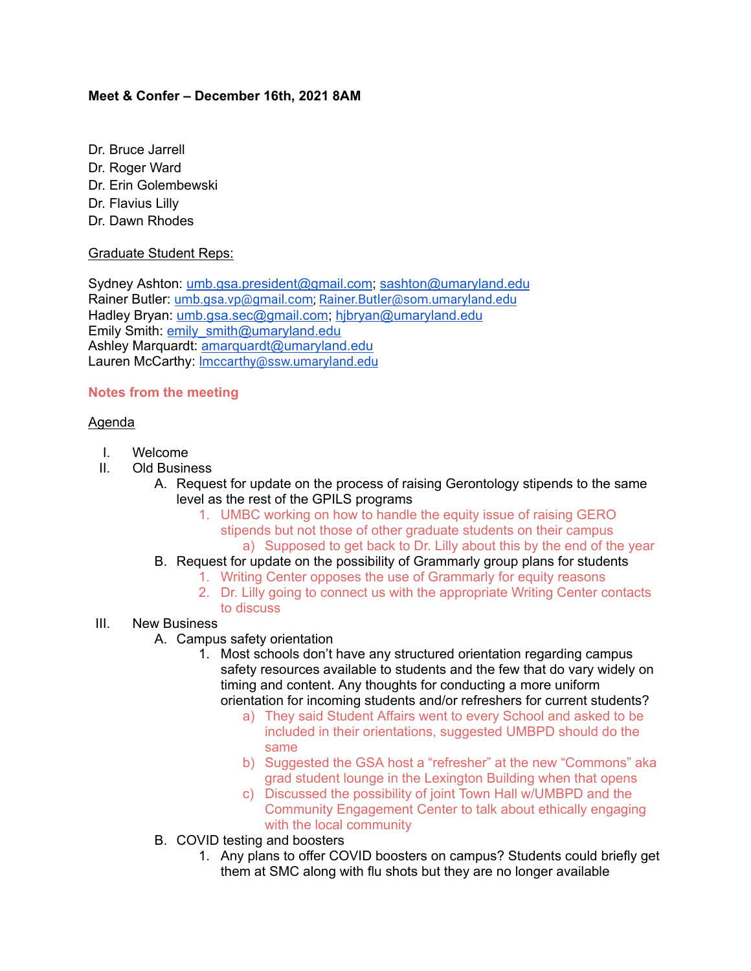## **Meet & Confer – December 16th, 2021 8AM**

- Dr. Bruce Jarrell
- Dr. Roger Ward
- Dr. Erin Golembewski
- Dr. Flavius Lilly
- Dr. Dawn Rhodes

## Graduate Student Reps:

Sydney Ashton: [umb.gsa.president@gmail.com;](mailto:umb.gsa.president@gmail.com) [sashton@umaryland.edu](mailto:sashton@umaryland.edu) Rainer Butler: [umb.gsa.vp@gmail.com;](mailto:umb.gsa.vp@gmail.com) [Rainer.Butler@som.umaryland.edu](mailto:Rainer.Butler@som.umaryland.edu) Hadley Bryan: [umb.gsa.sec@gmail.com;](mailto:umb.gsa.sec@gmail.com) [hjbryan@umaryland.edu](mailto:hjbryan@umaryland.edu) Emily Smith: [emily\\_smith@umaryland.edu](mailto:emily_smith@umaryland.edu) Ashley Marquardt: [amarquardt@umaryland.edu](mailto:amarquardt@umaryland.edu) Lauren McCarthy: [lmccarthy@ssw.umaryland.edu](mailto:lmccarthy@ssw.umaryland.edu)

# **Notes from the meeting**

## Agenda

- I. Welcome
- II. Old Business
	- A. Request for update on the process of raising Gerontology stipends to the same level as the rest of the GPILS programs
		- 1. UMBC working on how to handle the equity issue of raising GERO stipends but not those of other graduate students on their campus a) Supposed to get back to Dr. Lilly about this by the end of the year
	- B. Request for update on the possibility of Grammarly group plans for students
		- 1. Writing Center opposes the use of Grammarly for equity reasons
		- 2. Dr. Lilly going to connect us with the appropriate Writing Center contacts to discuss
- III. New Business
	- A. Campus safety orientation
		- 1. Most schools don't have any structured orientation regarding campus safety resources available to students and the few that do vary widely on timing and content. Any thoughts for conducting a more uniform orientation for incoming students and/or refreshers for current students?
			- a) They said Student Affairs went to every School and asked to be included in their orientations, suggested UMBPD should do the same
			- b) Suggested the GSA host a "refresher" at the new "Commons" aka grad student lounge in the Lexington Building when that opens
			- c) Discussed the possibility of joint Town Hall w/UMBPD and the Community Engagement Center to talk about ethically engaging with the local community
	- B. COVID testing and boosters
		- 1. Any plans to offer COVID boosters on campus? Students could briefly get them at SMC along with flu shots but they are no longer available